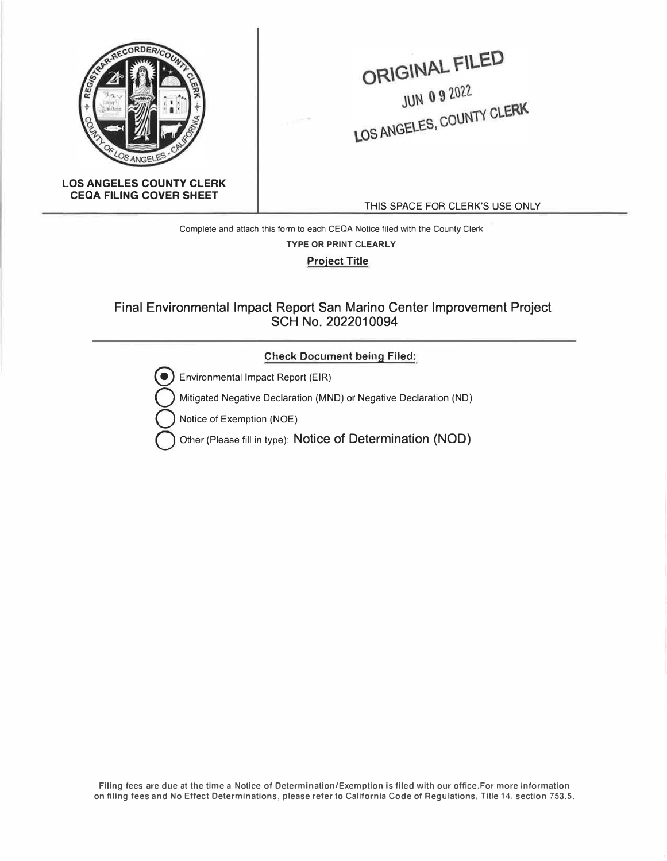

ORIGINAL FILED  $JUN 092022$ JUN 0 9 2022<br>LOS ANGELES, COUNTY CLERK

**LOS ANGELES COUNTY CLERK CEQA FILING COVER SHEET** 

THIS SPACE FOR CLERK'S USE ONLY

**Complete and attach this form to each CEQA Notice filed with the County Clerk TYPE OR PRINT CLEARLY Project Title** 

## Final Environmental Impact Report San Marino Center Improvement Project SCH No. 2022010094

### **Check Document being Filed:**



Environmental Impact Report (EIR)

Mitigated Negative Declaration (MND) or Negative Declaration (ND)

Notice of Exemption (NOE)

Other (Please fill in type): Notice of Determination (NOD)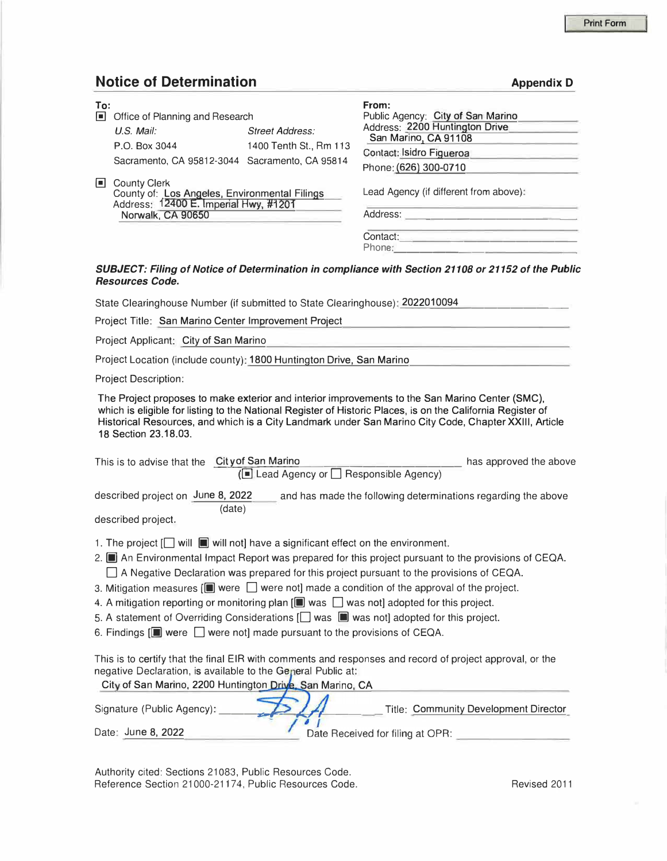## **Notice of Determination** *Appendix D*

| To:<br>Iш | Office of Planning and Research                                                                                             |                                                  | From:<br>Public Agency: City of San Marino                                         |
|-----------|-----------------------------------------------------------------------------------------------------------------------------|--------------------------------------------------|------------------------------------------------------------------------------------|
|           | $U.S.$ Mail:<br>P.O. Box 3044                                                                                               | <b>Street Address:</b><br>1400 Tenth St., Rm 113 | Address: 2200 Huntington Drive<br>San Marino, CA 91108<br>Contact: Isidro Figueroa |
| Iш        | Sacramento, CA 95812-3044 Sacramento, CA 95814                                                                              |                                                  | Phone: (626) 300-0710                                                              |
|           | County Clerk<br>County of: Los Angeles, Environmental Filings<br>Address: 12400 E. Imperial Hwy, #1201<br>Norwalk, CA 90650 |                                                  | Lead Agency (if different from above):<br>Address:                                 |
|           |                                                                                                                             |                                                  | Contact:<br>Phone:                                                                 |

#### *SUBJECT: Filing of Notice of Determination in compliance with Section 21108 or 21152 of the Public Resources Code.*

State Clearinghouse Number (if submitted to State Clearinghouse): 2022010094

Project Title: San Marino Center Improvement Project

Project Applicant: City of San Marino

Project Location (include county): 1800 Huntington Drive, San Marino

Project Description:

The Project proposes to make exterior and interior improvements to the San Marino Center (SMC), which is eligible for listing to the National Register of Historic Places, is on the California Register of Historical Resources, and which is a City Landmark under San Marino City Code, Chapter **XXIII,** Article 18 Section 23.18.03.

| This is to advise that the City of San Marino |                                                    | has approved the above |  |  |
|-----------------------------------------------|----------------------------------------------------|------------------------|--|--|
|                                               | ( $\Box$ Lead Agency or $\Box$ Responsible Agency) |                        |  |  |

described project on June 8, 2022 and has made the following determinations regarding the above (date)

described project.

- 1. The project  $\Box$  will  $\Box$  will not] have a significant effect on the environment.
- 2. **Iii** An Environmental Impact Report was prepared for this project pursuant to the provisions of CEQA.  $\Box$  A Negative Declaration was prepared for this project pursuant to the provisions of CEQA.
- 3. Mitigation measures  $[\blacksquare]$  were  $\Box$  were not] made a condition of the approval of the project.
- 4. A mitigation reporting or monitoring plan  $[\blacksquare$  was  $\Box$  was not] adopted for this project.
- 5. A statement of Overriding Considerations [ $\Box$  was  $\blacksquare$  was not] adopted for this project.
- 6. Findings  $\left[\blacksquare\right]$  were  $\Box$  were not] made pursuant to the provisions of CEQA.

This is to certify that the final EIR with comments and responses and record of project approval, or the negative Declaration, is available to the General Public at:

| City of San Marino, 2200 Huntington Drive, San Marino, CA |                                       |
|-----------------------------------------------------------|---------------------------------------|
| Signature (Public Agency):                                | Title: Community Development Director |
| Date: June 8, 2022                                        | Date Received for filing at OPR:      |

Authority cited: Sections 21083, Public Resources Code. Reference Section 21000-21174, Public Resources Code. The Revised 2011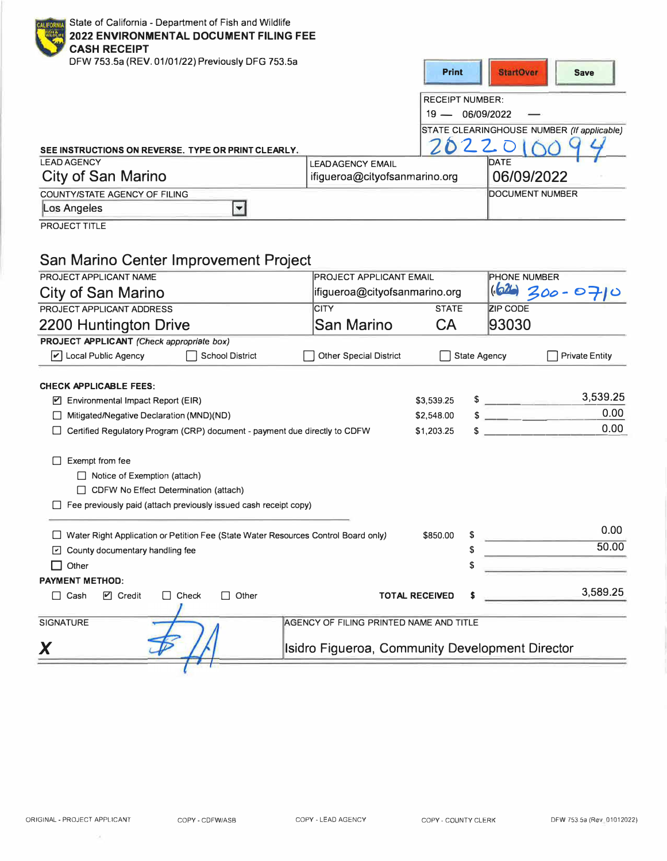| State of California - Department of Fish and Wildlife<br><b>2022 ENVIRONMENTAL DOCUMENT FILING FEE</b><br><b>CASH RECEIPT</b><br>DFW 753.5a (REV. 01/01/22) Previously DFG 753.5a |                                                          | <b>Print</b>                                   | <b>StartOver</b><br><b>Save</b>                    |  |
|-----------------------------------------------------------------------------------------------------------------------------------------------------------------------------------|----------------------------------------------------------|------------------------------------------------|----------------------------------------------------|--|
|                                                                                                                                                                                   |                                                          | <b>RECEIPT NUMBER:</b><br>06/09/2022<br>$19 -$ | STATE CLEARINGHOUSE NUMBER (If applicable)<br>22.0 |  |
| SEE INSTRUCTIONS ON REVERSE. TYPE OR PRINT CLEARLY.<br><b>LEAD AGENCY</b>                                                                                                         |                                                          |                                                | DATE                                               |  |
| City of San Marino                                                                                                                                                                | <b>LEADAGENCY EMAIL</b><br>ifigueroa@cityofsanmarino.org |                                                | 06/09/2022                                         |  |
| <b>COUNTY/STATE AGENCY OF FILING</b>                                                                                                                                              |                                                          |                                                | <b>DOCUMENT NUMBER</b>                             |  |
| Los Angeles                                                                                                                                                                       |                                                          |                                                |                                                    |  |

**PROJECT TITLE** 

# San Marino Center Improvement Project

| PROJECT APPLICANT NAME                                                                                                                             | <b>PROJECT APPLICANT EMAIL</b>                  |                       |                     | <b>PHONE NUMBER</b>        |                           |                       |
|----------------------------------------------------------------------------------------------------------------------------------------------------|-------------------------------------------------|-----------------------|---------------------|----------------------------|---------------------------|-----------------------|
| <b>City of San Marino</b>                                                                                                                          | ifigueroa@cityofsanmarino.org                   |                       |                     |                            |                           | $162$ 300-0710        |
| PROJECT APPLICANT ADDRESS                                                                                                                          | <b>CITY</b>                                     | <b>STATE</b>          |                     | <b>ZIP CODE</b>            |                           |                       |
| 2200 Huntington Drive                                                                                                                              | San Marino                                      | CA                    |                     | 93030                      |                           |                       |
| PROJECT APPLICANT (Check appropriate box)                                                                                                          |                                                 |                       |                     |                            |                           |                       |
| $\triangleright$ Local Public Agency<br><b>School District</b>                                                                                     | <b>Other Special District</b>                   |                       | <b>State Agency</b> |                            |                           | <b>Private Entity</b> |
| <b>CHECK APPLICABLE FEES:</b>                                                                                                                      |                                                 |                       |                     |                            |                           |                       |
| ☑<br>Environmental Impact Report (EIR)                                                                                                             |                                                 | \$3,539.25            |                     | $\sim$                     |                           | 3,539.25              |
| Mitigated/Negative Declaration (MND)(ND)<br>ΙI                                                                                                     |                                                 | \$2,548.00            |                     |                            | <u> The Common Anna A</u> | 0.00                  |
| Certified Regulatory Program (CRP) document - payment due directly to CDFW                                                                         |                                                 | \$1,203.25            |                     |                            |                           | 0.00                  |
| $\Box$ Notice of Exemption (attach)<br>□ CDFW No Effect Determination (attach)<br>Fee previously paid (attach previously issued cash receipt copy) |                                                 |                       |                     |                            |                           |                       |
| Water Right Application or Petition Fee (State Water Resources Control Board only)                                                                 |                                                 | \$850.00              |                     |                            |                           | 0.00                  |
| County documentary handling fee<br>$\vert \cdot \vert$                                                                                             |                                                 |                       |                     | <u> San San San San Sa</u> |                           | 50.00                 |
| Other                                                                                                                                              |                                                 |                       |                     |                            |                           |                       |
| <b>PAYMENT METHOD:</b>                                                                                                                             |                                                 |                       |                     |                            |                           |                       |
| Other<br>$\triangleright$ Credit<br>$\Box$ Check<br>$\Box$ Cash                                                                                    |                                                 | <b>TOTAL RECEIVED</b> | S                   |                            |                           | 3,589.25              |
| <b>SIGNATURE</b>                                                                                                                                   | AGENCY OF FILING PRINTED NAME AND TITLE         |                       |                     |                            |                           |                       |
|                                                                                                                                                    | Isidro Figueroa, Community Development Director |                       |                     |                            |                           |                       |
|                                                                                                                                                    |                                                 |                       |                     |                            |                           |                       |

 $\overline{\mathcal{A}}$